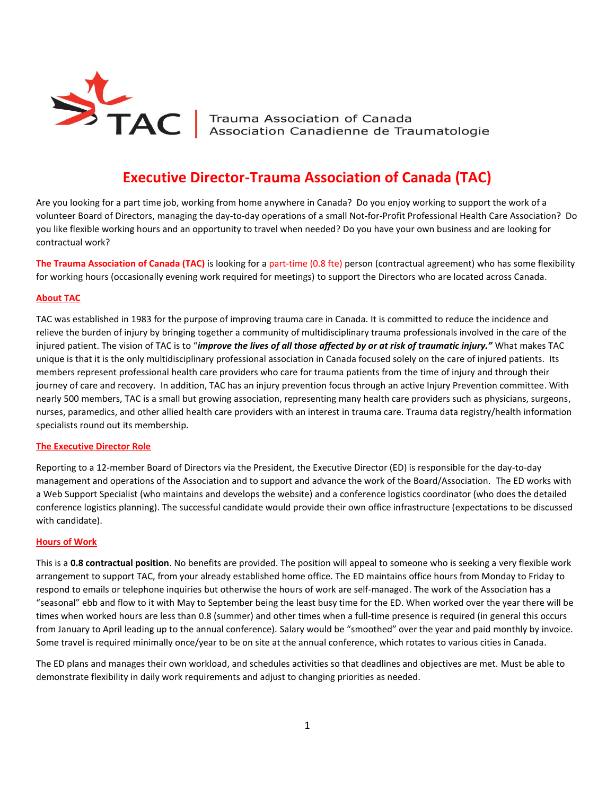

TAC Trauma Association of Canada<br>Association Canadienne de Traumatologie

# **Executive Director-Trauma Association of Canada (TAC)**

Are you looking for a part time job, working from home anywhere in Canada? Do you enjoy working to support the work of a volunteer Board of Directors, managing the day-to-day operations of a small Not-for-Profit Professional Health Care Association? Do you like flexible working hours and an opportunity to travel when needed? Do you have your own business and are looking for contractual work?

**The Trauma Association of Canada (TAC)** is looking for a part-time (0.8 fte) person (contractual agreement) who has some flexibility for working hours (occasionally evening work required for meetings) to support the Directors who are located across Canada.

## **About TAC**

TAC was established in 1983 for the purpose of improving trauma care in Canada. It is committed to reduce the incidence and relieve the burden of injury by bringing together a community of multidisciplinary trauma professionals involved in the care of the injured patient. The vision of TAC is to "*improve the lives of all those affected by or at risk of traumatic injury."* What makes TAC unique is that it is the only multidisciplinary professional association in Canada focused solely on the care of injured patients. Its members represent professional health care providers who care for trauma patients from the time of injury and through their journey of care and recovery. In addition, TAC has an injury prevention focus through an active Injury Prevention committee. With nearly 500 members, TAC is a small but growing association, representing many health care providers such as physicians, surgeons, nurses, paramedics, and other allied health care providers with an interest in trauma care. Trauma data registry/health information specialists round out its membership.

## **The Executive Director Role**

Reporting to a 12-member Board of Directors via the President, the Executive Director (ED) is responsible for the day-to-day management and operations of the Association and to support and advance the work of the Board/Association. The ED works with a Web Support Specialist (who maintains and develops the website) and a conference logistics coordinator (who does the detailed conference logistics planning). The successful candidate would provide their own office infrastructure (expectations to be discussed with candidate).

## **Hours of Work**

This is a **0.8 contractual position**. No benefits are provided. The position will appeal to someone who is seeking a very flexible work arrangement to support TAC, from your already established home office. The ED maintains office hours from Monday to Friday to respond to emails or telephone inquiries but otherwise the hours of work are self-managed. The work of the Association has a "seasonal" ebb and flow to it with May to September being the least busy time for the ED. When worked over the year there will be times when worked hours are less than 0.8 (summer) and other times when a full-time presence is required (in general this occurs from January to April leading up to the annual conference). Salary would be "smoothed" over the year and paid monthly by invoice. Some travel is required minimally once/year to be on site at the annual conference, which rotates to various cities in Canada.

The ED plans and manages their own workload, and schedules activities so that deadlines and objectives are met. Must be able to demonstrate flexibility in daily work requirements and adjust to changing priorities as needed.